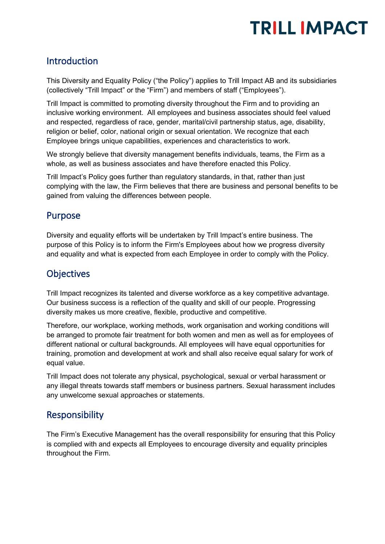# **TRILL IMPACT**

### Introduction

This Diversity and Equality Policy ("the Policy") applies to Trill Impact AB and its subsidiaries (collectively "Trill Impact" or the "Firm") and members of staff ("Employees").

Trill Impact is committed to promoting diversity throughout the Firm and to providing an inclusive working environment. All employees and business associates should feel valued and respected, regardless of race, gender, marital/civil partnership status, age, disability, religion or belief, color, national origin or sexual orientation. We recognize that each Employee brings unique capabilities, experiences and characteristics to work.

We strongly believe that diversity management benefits individuals, teams, the Firm as a whole, as well as business associates and have therefore enacted this Policy.

Trill Impact's Policy goes further than regulatory standards, in that, rather than just complying with the law, the Firm believes that there are business and personal benefits to be gained from valuing the differences between people.

### Purpose

Diversity and equality efforts will be undertaken by Trill Impact's entire business. The purpose of this Policy is to inform the Firm's Employees about how we progress diversity and equality and what is expected from each Employee in order to comply with the Policy.

### **Objectives**

Trill Impact recognizes its talented and diverse workforce as a key competitive advantage. Our business success is a reflection of the quality and skill of our people. Progressing diversity makes us more creative, flexible, productive and competitive.

Therefore, our workplace, working methods, work organisation and working conditions will be arranged to promote fair treatment for both women and men as well as for employees of different national or cultural backgrounds. All employees will have equal opportunities for training, promotion and development at work and shall also receive equal salary for work of equal value.

Trill Impact does not tolerate any physical, psychological, sexual or verbal harassment or any illegal threats towards staff members or business partners. Sexual harassment includes any unwelcome sexual approaches or statements.

### Responsibility

The Firm's Executive Management has the overall responsibility for ensuring that this Policy is complied with and expects all Employees to encourage diversity and equality principles throughout the Firm.